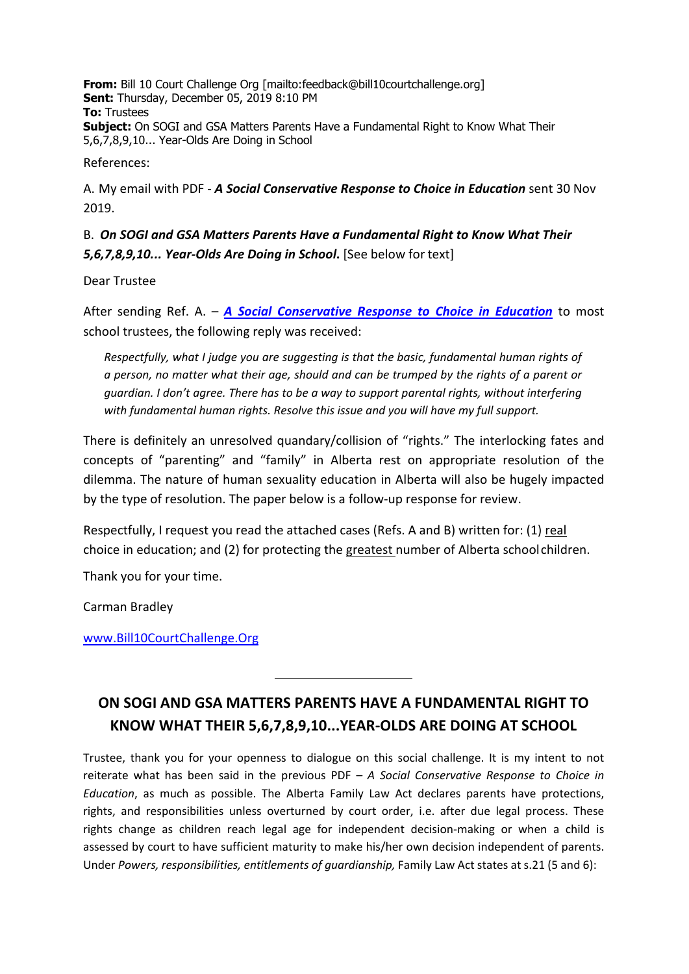**From:** Bill 10 Court Challenge Org [\[mailto:feedback@bill10courtchallenge.org\]](mailto:feedback@bill10courtchallenge.org) **Sent:** Thursday, December 05, 2019 8:10 PM **To:** Trustees **Subject:** On SOGI and GSA Matters Parents Have a Fundamental Right to Know What Their 5,6,7,8,9,10... Year-Olds Are Doing in School

References:

A. My email with PDF - *A Social Conservative Response to Choice in Education* sent 30 Nov 2019.

## B. *On SOGI and GSA Matters Parents Have a Fundamental Right to Know What Their 5,6,7,8,9,10... Year-Olds Are Doing in School***.** [See below for text]

Dear Trustee

After sending Ref. A. – *[A Social Conservative Response to Choice in Education](https://bill10courtchallenge.org/wp-content/uploads/2020/04/1-social-conservative-response-to-choice-in-education-survey.pdf)* to most school trustees, the following reply was received:

*Respectfully, what I judge you are suggesting is that the basic, fundamental human rights of a person, no matter what their age, should and can be trumped by the rights of a parent or guardian. I don't agree. There has to be a way to support parental rights, without interfering with fundamental human rights. Resolve this issue and you will have my full support.*

There is definitely an unresolved quandary/collision of "rights." The interlocking fates and concepts of "parenting" and "family" in Alberta rest on appropriate resolution of the dilemma. The nature of human sexuality education in Alberta will also be hugely impacted by the type of resolution. The paper below is a follow-up response for review.

Respectfully, I request you read the attached cases (Refs. A and B) written for: (1) real choice in education; and (2) for protecting the greatest number of Alberta schoolchildren.

Thank you for your time.

Carman Bradley

[www.Bill10CourtChallenge.Org](http://www.bill10courtchallenge.org/)

## **ON SOGI AND GSA MATTERS PARENTS HAVE A FUNDAMENTAL RIGHT TO KNOW WHAT THEIR 5,6,7,8,9,10...YEAR-OLDS ARE DOING AT SCHOOL**

Trustee, thank you for your openness to dialogue on this social challenge. It is my intent to not reiterate what has been said in the previous PDF – *A Social Conservative Response to Choice in Education*, as much as possible. The Alberta Family Law Act declares parents have protections, rights, and responsibilities unless overturned by court order, i.e. after due legal process. These rights change as children reach legal age for independent decision-making or when a child is assessed by court to have sufficient maturity to make his/her own decision independent of parents. Under *Powers, responsibilities, entitlements of guardianship,* Family Law Act states at s.21 (5 and 6):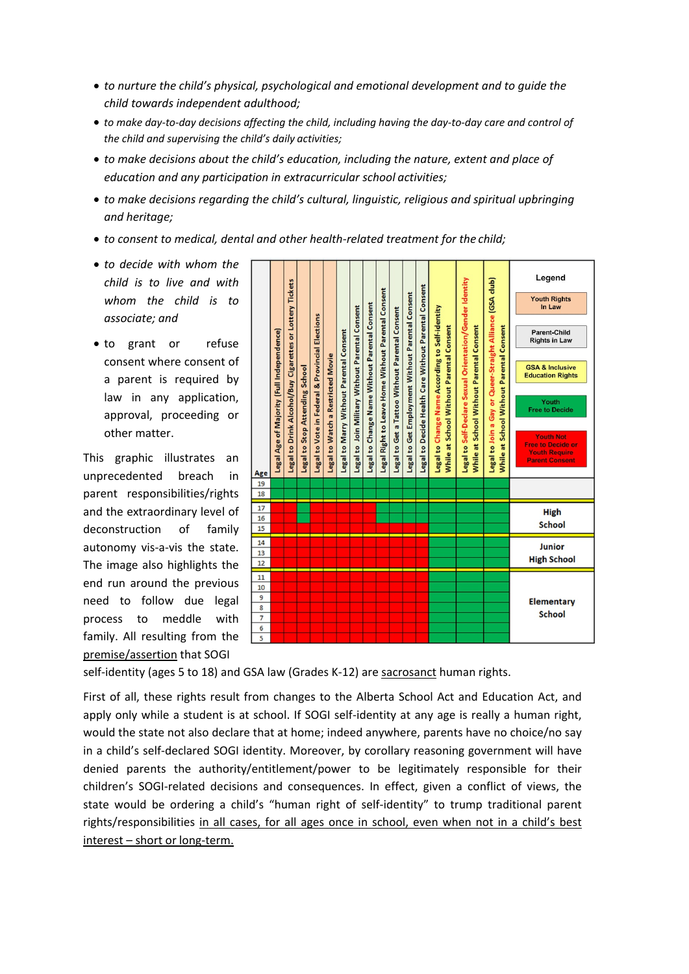- *to nurture the child's physical, psychological and emotional development and to guide the child towards independent adulthood;*
- *to make day-to-day decisions affecting the child, including having the day-to-day care and control of the child and supervising the child's daily activities;*
- *to make decisions about the child's education, including the nature, extent and place of education and any participation in extracurricular school activities;*
- *to make decisions regarding the child's cultural, linguistic, religious and spiritual upbringing and heritage;*
- *to consent to medical, dental and other health-related treatment for the child;*
- *to decide with whom the child is to live and with whom the child is to associate; and*
- to grant or refuse consent where consent of a parent is required by law in any application, approval, proceeding or other matter.

This graphic illustrates an unprecedented breach in parent responsibilities/rights and the extraordinary level of deconstruction of family autonomy vis-a-vis the state. The image also highlights the end run around the previous need to follow due legal process to meddle with family. All resulting from the premise/assertion that SOGI



self-identity (ages 5 to 18) and GSA law (Grades K-12) are sacrosanct human rights.

First of all, these rights result from changes to the Alberta School Act and Education Act, and apply only while a student is at school. If SOGI self-identity at any age is really a human right, would the state not also declare that at home; indeed anywhere, parents have no choice/no say in a child's self-declared SOGI identity. Moreover, by corollary reasoning government will have denied parents the authority/entitlement/power to be legitimately responsible for their children's SOGI-related decisions and consequences. In effect, given a conflict of views, the state would be ordering a child's "human right of self-identity" to trump traditional parent rights/responsibilities in all cases, for all ages once in school, even when not in a child's best interest – short or long-term.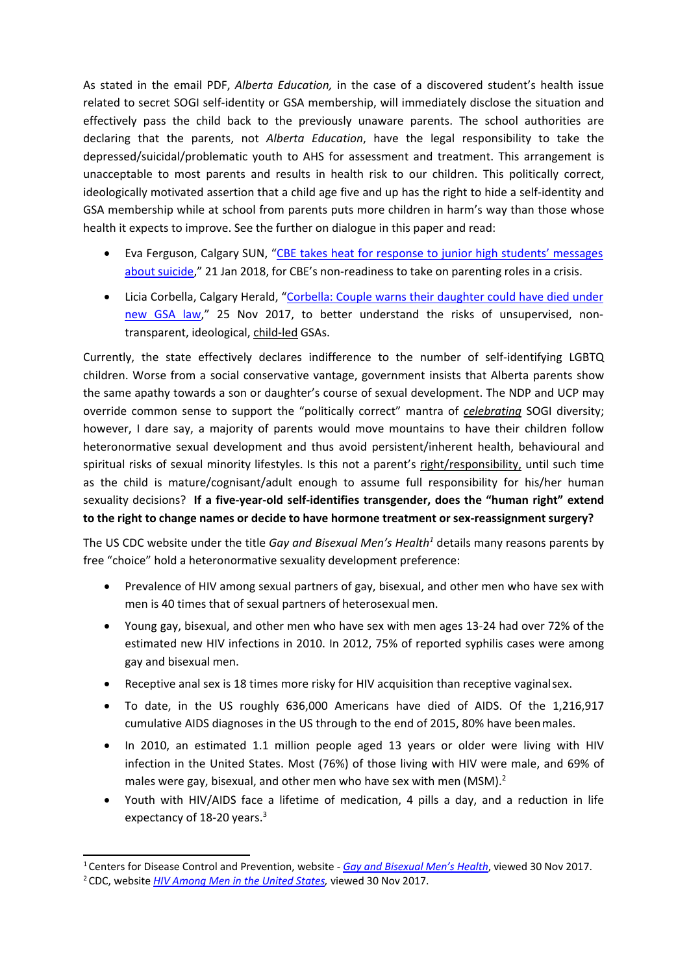As stated in the email PDF, *Alberta Education,* in the case of a discovered student's health issue related to secret SOGI self-identity or GSA membership, will immediately disclose the situation and effectively pass the child back to the previously unaware parents. The school authorities are declaring that the parents, not *Alberta Education*, have the legal responsibility to take the depressed/suicidal/problematic youth to AHS for assessment and treatment. This arrangement is unacceptable to most parents and results in health risk to our children. This politically correct, ideologically motivated assertion that a child age five and up has the right to hide a self-identity and GSA membership while at school from parents puts more children in harm's way than those whose health it expects to improve. See the further on dialogue in this paper and read:

- Eva Ferguson, Calgary SUN, ["CBE takes heat for response to junior high students' messages](http://calgarysun.com/news/local-news/cbe-puts-off-junior-high-students-messages-about-suicide-self-harm-for-a-year/wcm/0f213d93-aa4f-42c3-a998-a5a56809a5e5) about [suicide,](http://calgarysun.com/news/local-news/cbe-puts-off-junior-high-students-messages-about-suicide-self-harm-for-a-year/wcm/0f213d93-aa4f-42c3-a998-a5a56809a5e5)" 21 Jan 2018, for CBE's non-readiness to take on parenting roles in a crisis.
- Licia Corbella, Calgary Herald, "Corbella: Couple warns their daughter could have died under [new GSA law," 25 Nov 2017, to better understand the risks of unsupervised, non](https://bill10courtchallenge.org/wp-content/uploads/2020/05/corbella-gsas-peer-pressure.pdf)transparent, ideological, child-led GSAs.

Currently, the state effectively declares indifference to the number of self-identifying LGBTQ children. Worse from a social conservative vantage, government insists that Alberta parents show the same apathy towards a son or daughter's course of sexual development. The NDP and UCP may override common sense to support the "politically correct" mantra of *celebrating* SOGI diversity; however, I dare say, a majority of parents would move mountains to have their children follow heteronormative sexual development and thus avoid persistent/inherent health, behavioural and spiritual risks of sexual minority lifestyles. Is this not a parent's right/responsibility, until such time as the child is mature/cognisant/adult enough to assume full responsibility for his/her human sexuality decisions? **If a five-year-old self-identifies transgender, does the "human right" extend to the right to change names or decide to have hormone treatment or sex-reassignment surgery?**

The US CDC website under the title *Gay and Bisexual Men's Health<sup>1</sup>* details many reasons parents by free "choice" hold a heteronormative sexuality development preference:

- Prevalence of HIV among sexual partners of gay, bisexual, and other men who have sex with men is 40 times that of sexual partners of heterosexual men.
- Young gay, bisexual, and other men who have sex with men ages 13-24 had over 72% of the estimated new HIV infections in 2010. In 2012, 75% of reported syphilis cases were among gay and bisexual men.
- Receptive anal sex is 18 times more risky for HIV acquisition than receptive vaginalsex.
- To date, in the US roughly 636,000 Americans have died of AIDS. Of the 1,216,917 cumulative AIDS diagnoses in the US through to the end of 2015, 80% have beenmales.
- <span id="page-2-2"></span>• In 2010, an estimated 1.1 million people aged 13 years or older were living with HIV infection in the United States. Most (76%) of those living with HIV were male, and 69% of males were gay, bisexual, and other men who have sex with men (MSM).<sup>2</sup>
- Youth with HIV/AIDS face a lifetime of medication, 4 pills a day, and a reduction in life expectancy of 18-20 years.<sup>3</sup>

<span id="page-2-1"></span><span id="page-2-0"></span><sup>1</sup> Centers for Disease Control and Prevention, website - *[Gay and Bisexual Men's Health](https://www.cdc.gov/msmhealth/for-your-health.htm)*, viewed 30 Nov 2017. 2 CDC, website *[HIV Among Men in the United States,](https://www.cdc.gov/hiv/group/gender/men/index.html)* viewed 30 Nov 2017.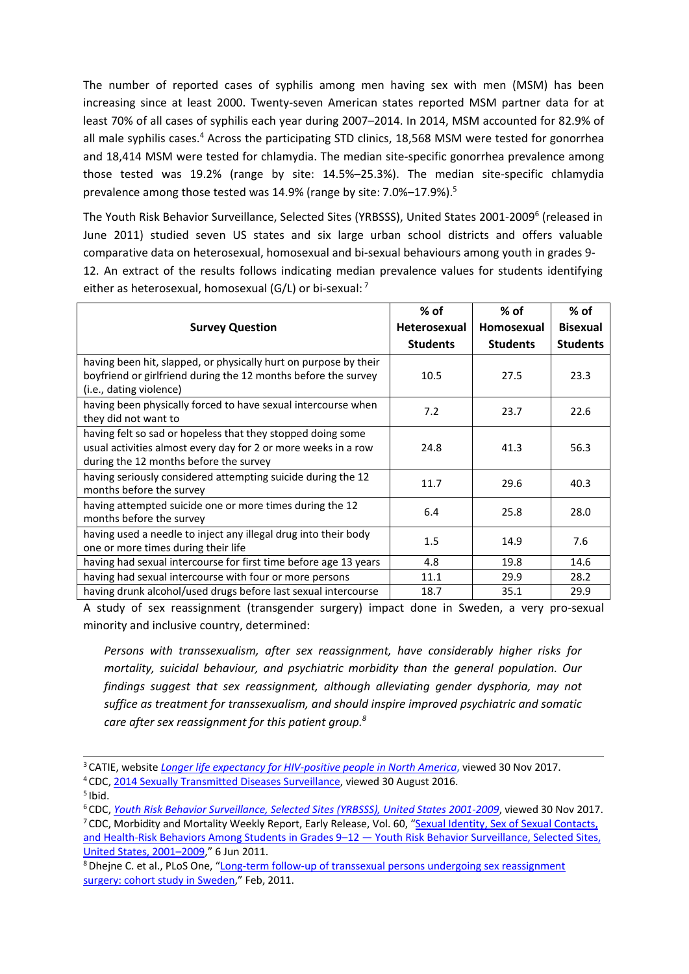The number of reported cases of syphilis among men having sex with men (MSM) has been increasing since at least 2000. Twenty-seven American states reported MSM partner data for at least 70% of all cases of syphilis each year during 2007–2014. In 2014, MSM accounted for 82.9% of all male syphilis cases.<sup>4</sup> Across the participating STD clinics, 18,568 MSM were tested for gonorrhea and 18,414 MSM were tested for chlamydia. The median site-specific gonorrhea prevalence among those tested was 19.2% (range by site: 14.5%–25.3%). The median site-specific chlamydia prevalence among those tested was 14.9% (range by site: 7.0%–17.9%).<sup>5</sup>

The Youth Risk Behavior Surveillance, Selected Sites (YRBSSS), United States 2001-2009<sup>6</sup> (released in June 2011) studied seven US states and six large urban school districts and offers valuable comparative data on heterosexual, homosexual and bi-sexual behaviours among youth in grades 9- 12. An extract of the results follows indicating median prevalence values for students identifying

either as heterosexual, homosexual (G/L) or bi-sexual: [7](#page-3-3)

|                                                                                                                                                                         | % of                | $%$ of          | $%$ of          |
|-------------------------------------------------------------------------------------------------------------------------------------------------------------------------|---------------------|-----------------|-----------------|
| <b>Survey Question</b>                                                                                                                                                  | <b>Heterosexual</b> | Homosexual      | <b>Bisexual</b> |
|                                                                                                                                                                         | <b>Students</b>     | <b>Students</b> | <b>Students</b> |
| having been hit, slapped, or physically hurt on purpose by their<br>boyfriend or girlfriend during the 12 months before the survey<br>(i.e., dating violence)           | 10.5                | 27.5            | 23.3            |
| having been physically forced to have sexual intercourse when<br>they did not want to                                                                                   | 7.2                 | 23.7            | 22.6            |
| having felt so sad or hopeless that they stopped doing some<br>usual activities almost every day for 2 or more weeks in a row<br>during the 12 months before the survey | 24.8                | 41.3            | 56.3            |
| having seriously considered attempting suicide during the 12<br>months before the survey                                                                                | 11.7                | 29.6            | 40.3            |
| having attempted suicide one or more times during the 12<br>months before the survey                                                                                    | 6.4                 | 25.8            | 28.0            |
| having used a needle to inject any illegal drug into their body<br>one or more times during their life                                                                  | 1.5                 | 14.9            | 7.6             |
| having had sexual intercourse for first time before age 13 years                                                                                                        | 4.8                 | 19.8            | 14.6            |
| having had sexual intercourse with four or more persons                                                                                                                 | 11.1                | 29.9            | 28.2            |
| having drunk alcohol/used drugs before last sexual intercourse                                                                                                          | 18.7                | 35.1            | 29.9            |

A study of sex reassignment (transgender surgery) impact done in Sweden, a very pro-sexual minority and inclusive country, determined:

*Persons with transsexualism, after sex reassignment, have considerably higher risks for mortality, suicidal behaviour, and psychiatric morbidity than the general population. Our findings suggest that sex reassignment, although alleviating gender dysphoria, may not suffice as treatment for transsexualism, and should inspire improved psychiatric and somatic care after sex reassignment for this patient group[.8](#page-3-4)*

<sup>3</sup> CATIE, website *[Longer life expectancy for HIV-positive people in North America](http://www.catie.ca/en/treatmentupdate/treatmentupdate-200/anti-hiv-agents/longer-life-expectancy-hiv-positive-people-north)***,** viewed 30 Nov 2017.

<span id="page-3-0"></span><sup>4</sup> CDC[, 2014 Sexually Transmitted Diseases Surveillance, v](http://www.cdc.gov/std/stats14/msm.htm)iewed 30 August 2016.

<span id="page-3-1"></span>

<span id="page-3-3"></span><span id="page-3-2"></span><sup>&</sup>lt;sup>5</sup> Ibid.<br><sup>6</sup> CDC, Youth Risk Behavior Surveillance, Selected Sites (YRBSSS), United States 2001-2009, viewed 30 Nov 2017. <sup>7</sup> CDC, Morbidity and Mortality Weekly Report, Early Release, Vol. 60, ["Sexual Identity, Sex of Sexual Contacts,](http://www.cdc.gov/mmwr/preview/mmwrhtml/ss6007a1.htm)

[and Health-Risk Behaviors Among Students in Grades 9–12 —](http://www.cdc.gov/mmwr/preview/mmwrhtml/ss6007a1.htm) Youth Risk Behavior Surveillance, Selected Sites, [United States, 2001–2009,"](http://www.cdc.gov/mmwr/preview/mmwrhtml/ss6007a1.htm) 6 Jun 2011.

<span id="page-3-4"></span><sup>8</sup> Dhejne C. et al., PLoS One, ["Long-term follow-up of transsexual persons undergoing sex reassignment](https://www.ncbi.nlm.nih.gov/pubmed/21364939) [surgery: cohort study in Sweden,"](https://www.ncbi.nlm.nih.gov/pubmed/21364939) Feb, 2011.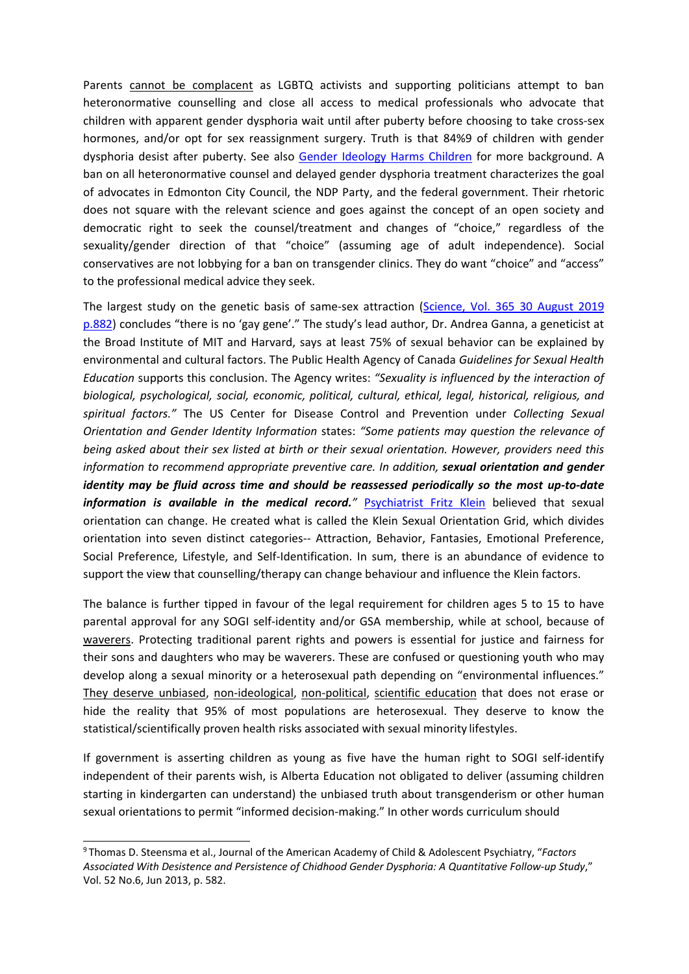Parents cannot be complacent as LGBTQ activists and supporting politicians attempt to ban heteronormative counselling and close all access to medical professionals who advocate that children with apparent gender dysphoria wait until after puberty before choosing to take cross-sex hormones, and/or opt for sex reassignment surgery. Truth is that 84%9 of children with gender dysphoria desist after puberty. See also [Gender Ideology Harms Children](https://bill10courtchallenge.org/wp-content/uploads/2020/04/d-gender-ideology-harms-children.pdf) for more background. A ban on all heteronormative counsel and delayed gender dysphoria treatment characterizes the goal of advocates in Edmonton City Council, the NDP Party, and the federal government. Their rhetoric does not square with the relevant science and goes against the concept of an open society and democratic right to seek the counsel/treatment and changes of "choice," regardless of the sexuality/gender direction of that "choice" (assuming age of adult independence). Social conservatives are not lobbying for a ban on transgender clinics. They do want "choice" and "access" to the professional medical advice they seek.

The largest study on the genetic basis of same-sex attraction [\(Science, Vol. 365 30 August 2019](https://www.sciencenews.org/article/no-evidence-that-gay-gene-exists) [p.882\)](https://www.sciencenews.org/article/no-evidence-that-gay-gene-exists) concludes "there is no 'gay gene'." The study's lead author, Dr. Andrea Ganna, a geneticist at the Broad Institute of MIT and Harvard, says at least 75% of sexual behavior can be explained by environmental and cultural factors. The Public Health Agency of Canada *Guidelines for Sexual Health Education* supports this conclusion. The Agency writes: *"Sexuality is influenced by the interaction of biological, psychological, social, economic, political, cultural, ethical, legal, historical, religious, and spiritual factors."* The US Center for Disease Control and Prevention under *Collecting Sexual Orientation and Gender Identity Information* states: *"Some patients may question the relevance of being asked about their sex listed at birth or their sexual orientation. However, providers need this information to recommend appropriate preventive care. In addition, sexual orientation and gender identity may be fluid across time and should be reassessed periodically so the most up-to-date information is available in the medical record.*<sup>"</sup> [Psychiatrist Fritz Klein](https://en.wikipedia.org/wiki/Fritz_Klein_(sex_researcher)) believed that sexual orientation can change. He created what is called the Klein [Sexual Orientation G](https://www.psychologytoday.com/ca/basics/homosexuality)rid, which divides orientation into seven distinct categories-- [Attraction,](https://www.psychologytoday.com/ca/basics/mating) Behavior, Fantasies, Emotional Preference, Social Preference, Lifestyle, and Self-Identification. In sum, there is an abundance of evidence to support the view that counselling/therapy can change behaviour and influence the Klein factors.

The balance is further tipped in favour of the legal requirement for children ages 5 to 15 to have parental approval for any SOGI self-identity and/or GSA membership, while at school, because of waverers. Protecting traditional parent rights and powers is essential for justice and fairness for their sons and daughters who may be waverers. These are confused or questioning youth who may develop along a sexual minority or a heterosexual path depending on "environmental influences." They deserve unbiased, non-ideological, non-political, scientific education that does not erase or hide the reality that 95% of most populations are heterosexual. They deserve to know the statistical/scientifically proven health risks associated with sexual minority lifestyles.

If government is asserting children as young as five have the human right to SOGI self-identify independent of their parents wish, is Alberta Education not obligated to deliver (assuming children starting in kindergarten can understand) the unbiased truth about transgenderism or other human sexual orientations to permit "informed decision-making." In other words curriculum should

<sup>9</sup> Thomas D. Steensma et al., Journal of the American Academy of Child & Adolescent Psychiatry, "*Factors Associated With Desistence and Persistence of Chidhood Gender Dysphoria: A Quantitative Follow-up Study*," Vol. 52 No.6, Jun 2013, p. 582.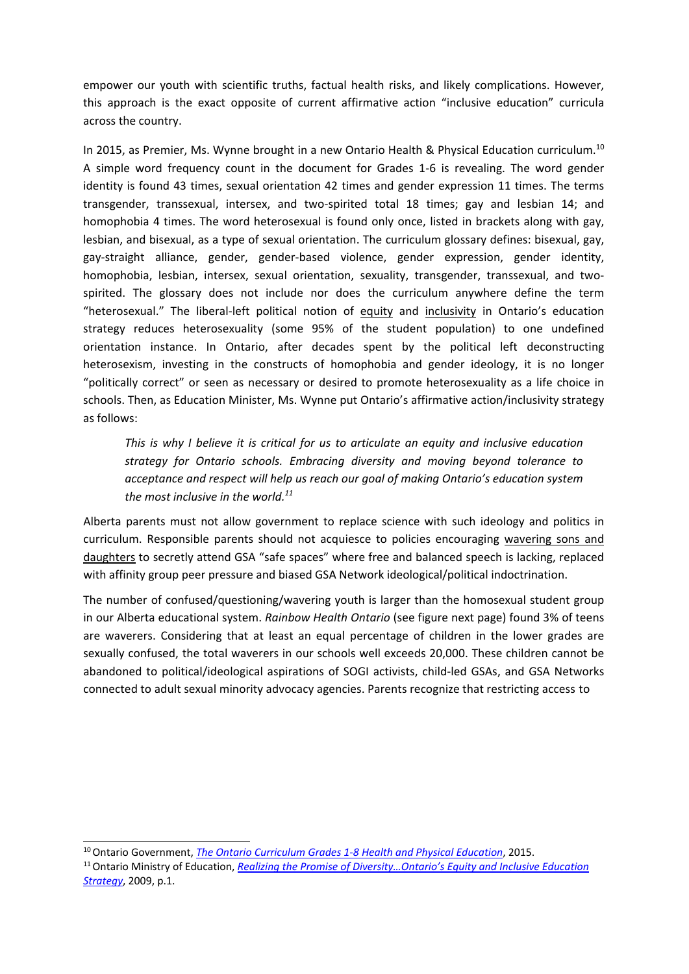empower our youth with scientific truths, factual health risks, and likely complications. However, this approach is the exact opposite of current affirmative action "inclusive education" curricula across the country.

In 2015, as Premier, Ms. Wynne brought in a new Ontario Health & Physical Education curriculum.<sup>10</sup> A simple word frequency count in the document for Grades 1-6 is revealing. The word gender identity is found 43 times, sexual orientation 42 times and gender expression 11 times. The terms transgender, transsexual, intersex, and two-spirited total 18 times; gay and lesbian 14; and homophobia 4 times. The word heterosexual is found only once, listed in brackets along with gay, lesbian, and bisexual, as a type of sexual orientation. The curriculum glossary defines: bisexual, gay, gay-straight alliance, gender, gender-based violence, gender expression, gender identity, homophobia, lesbian, intersex, sexual orientation, sexuality, transgender, transsexual, and twospirited. The glossary does not include nor does the curriculum anywhere define the term "heterosexual." The liberal-left political notion of equity and inclusivity in Ontario's education strategy reduces heterosexuality (some 95% of the student population) to one undefined orientation instance. In Ontario, after decades spent by the political left deconstructing heterosexism, investing in the constructs of homophobia and gender ideology, it is no longer "politically correct" or seen as necessary or desired to promote heterosexuality as a life choice in schools. Then, as Education Minister, Ms. Wynne put Ontario's affirmative action/inclusivity strategy as follows:

*This is why I believe it is critical for us to articulate an equity and inclusive education strategy for Ontario schools. Embracing diversity and moving beyond tolerance to acceptance and respect will help us reach our goal of making Ontario's education system the most inclusive in the world[.11](#page-5-1)*

Alberta parents must not allow government to replace science with such ideology and politics in curriculum. Responsible parents should not acquiesce to policies encouraging wavering sons and daughters to secretly attend GSA "safe spaces" where free and balanced speech is lacking, replaced with affinity group peer pressure and biased GSA Network ideological/political indoctrination.

The number of confused/questioning/wavering youth is larger than the homosexual student group in our Alberta educational system. *Rainbow Health Ontario* (see figure next page) found 3% of teens are waverers. Considering that at least an equal percentage of children in the lower grades are sexually confused, the total waverers in our schools well exceeds 20,000. These children cannot be abandoned to political/ideological aspirations of SOGI activists, child-led GSAs, and GSA Networks connected to adult sexual minority advocacy agencies. Parents recognize that restricting access to

<span id="page-5-0"></span><sup>10</sup> Ontario Government, *[The Ontario Curriculum Grades 1-8 Health and Physical Education](http://www.edu.gov.on.ca/eng/curriculum/elementary/health1to8.pdf)*, 2015.

<span id="page-5-1"></span><sup>11</sup> Ontario Ministry of Education, *[Realizing the Promise of Diversity…Ontario's Equity and Inclusive Education](http://www.edu.gov.on.ca/eng/policyfunding/equity.pdf) [Strategy](http://www.edu.gov.on.ca/eng/policyfunding/equity.pdf)*, 2009, p.1.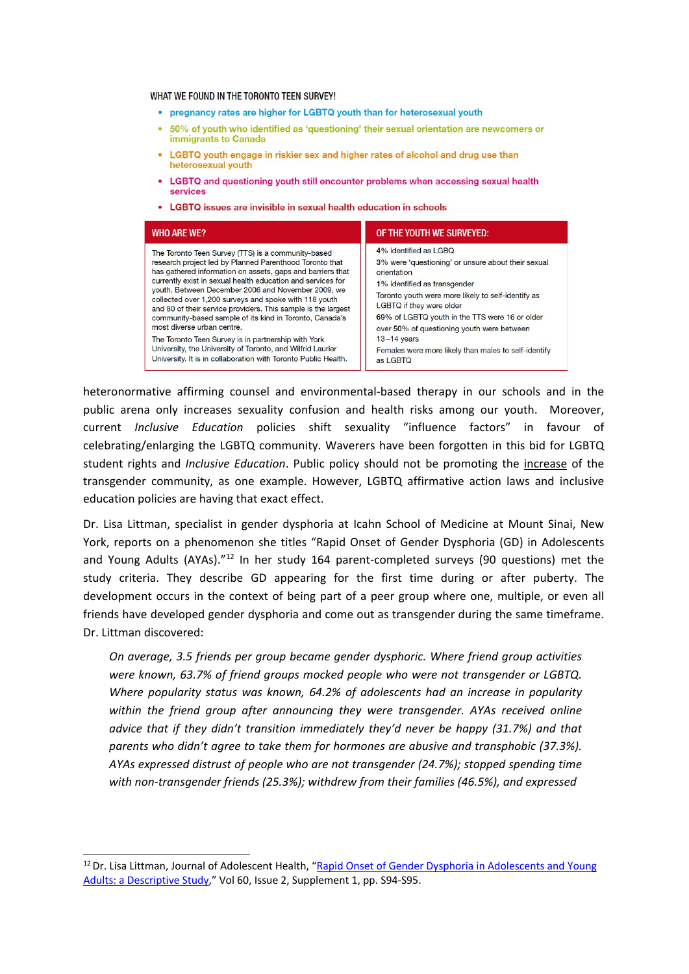WHAT WE FOUND IN THE TORONTO TEEN SURVEY!

- pregnancy rates are higher for LGBTQ youth than for heterosexual youth
- 50% of youth who identified as 'questioning' their sexual orientation are newcomers or immigrants to Canada
- LGBTQ youth engage in riskier sex and higher rates of alcohol and drug use than heterosexual youth
- LGBTQ and questioning youth still encounter problems when accessing sexual health services
- LGBTQ issues are invisible in sexual health education in schools

| <b>WHO ARE WE?</b>                                                                                                                                                                                                                                                                                                                                                                                                                                                                                                                                                                                                                                                                                         | OF THE YOUTH WE SURVEYED:                                                                                                                                                                                                                                                                                                                                                                           |
|------------------------------------------------------------------------------------------------------------------------------------------------------------------------------------------------------------------------------------------------------------------------------------------------------------------------------------------------------------------------------------------------------------------------------------------------------------------------------------------------------------------------------------------------------------------------------------------------------------------------------------------------------------------------------------------------------------|-----------------------------------------------------------------------------------------------------------------------------------------------------------------------------------------------------------------------------------------------------------------------------------------------------------------------------------------------------------------------------------------------------|
| The Toronto Teen Survey (TTS) is a community-based<br>research project led by Planned Parenthood Toronto that<br>has gathered information on assets, gaps and barriers that<br>currently exist in sexual health education and services for<br>youth. Between December 2006 and November 2009, we<br>collected over 1,200 surveys and spoke with 118 youth<br>and 80 of their service providers. This sample is the largest<br>community-based sample of its kind in Toronto, Canada's<br>most diverse urban centre.<br>The Toronto Teen Survey is in partnership with York<br>University, the University of Toronto, and Wilfrid Laurier<br>University. It is in collaboration with Toronto Public Health. | 4% identified as LGBQ<br>3% were 'questioning' or unsure about their sexual<br>orientation<br>1% identified as transgender<br>Toronto youth were more likely to self-identify as<br>LGBTQ if they were older<br>69% of LGBTQ youth in the TTS were 16 or older<br>over 50% of questioning youth were between<br>$13 - 14$ years<br>Females were more likely than males to self-identify<br>as LGBTQ |

heteronormative affirming counsel and environmental-based therapy in our schools and in the public arena only increases sexuality confusion and health risks among our youth. Moreover, current *Inclusive Education* policies shift sexuality "influence factors" in favour of celebrating/enlarging the LGBTQ community. Waverers have been forgotten in this bid for LGBTQ student rights and *Inclusive Education*. Public policy should not be promoting the increase of the transgender community, as one example. However, LGBTQ affirmative action laws and inclusive education policies are having that exact effect.

Dr. Lisa Littman, specialist in gender dysphoria at Icahn School of Medicine at Mount Sinai, New York, reports on a phenomenon she titles "Rapid Onset of Gender Dysphoria (GD) in Adolescents and Young Adults (AYAs)."<sup>12</sup> In her study 164 parent-completed surveys (90 questions) met the study criteria. They describe GD appearing for the first time during or after puberty. The development occurs in the context of being part of a peer group where one, multiple, or even all friends have developed gender dysphoria and come out as transgender during the same timeframe. Dr. Littman discovered:

*On average, 3.5 friends per group became gender dysphoric. Where friend group activities were known, 63.7% of friend groups mocked people who were not transgender or LGBTQ. Where popularity status was known, 64.2% of adolescents had an increase in popularity within the friend group after announcing they were transgender. AYAs received online advice that if they didn't transition immediately they'd never be happy (31.7%) and that parents who didn't agree to take them for hormones are abusive and transphobic (37.3%). AYAs expressed distrust of people who are not transgender (24.7%); stopped spending time with non-transgender friends (25.3%); withdrew from their families (46.5%), and expressed*

<span id="page-6-0"></span><sup>&</sup>lt;sup>12</sup> Dr. Lisa Littman, Journal of Adolescent Health, ["Rapid Onset of Gender Dysphoria in Adolescents and Young](http://www.jahonline.org/article/S1054-139X(16)30765-0/pdf) [Adults: a Descriptive Study,"](http://www.jahonline.org/article/S1054-139X(16)30765-0/pdf) Vol 60, Issue 2, Supplement 1, pp. S94-S95.